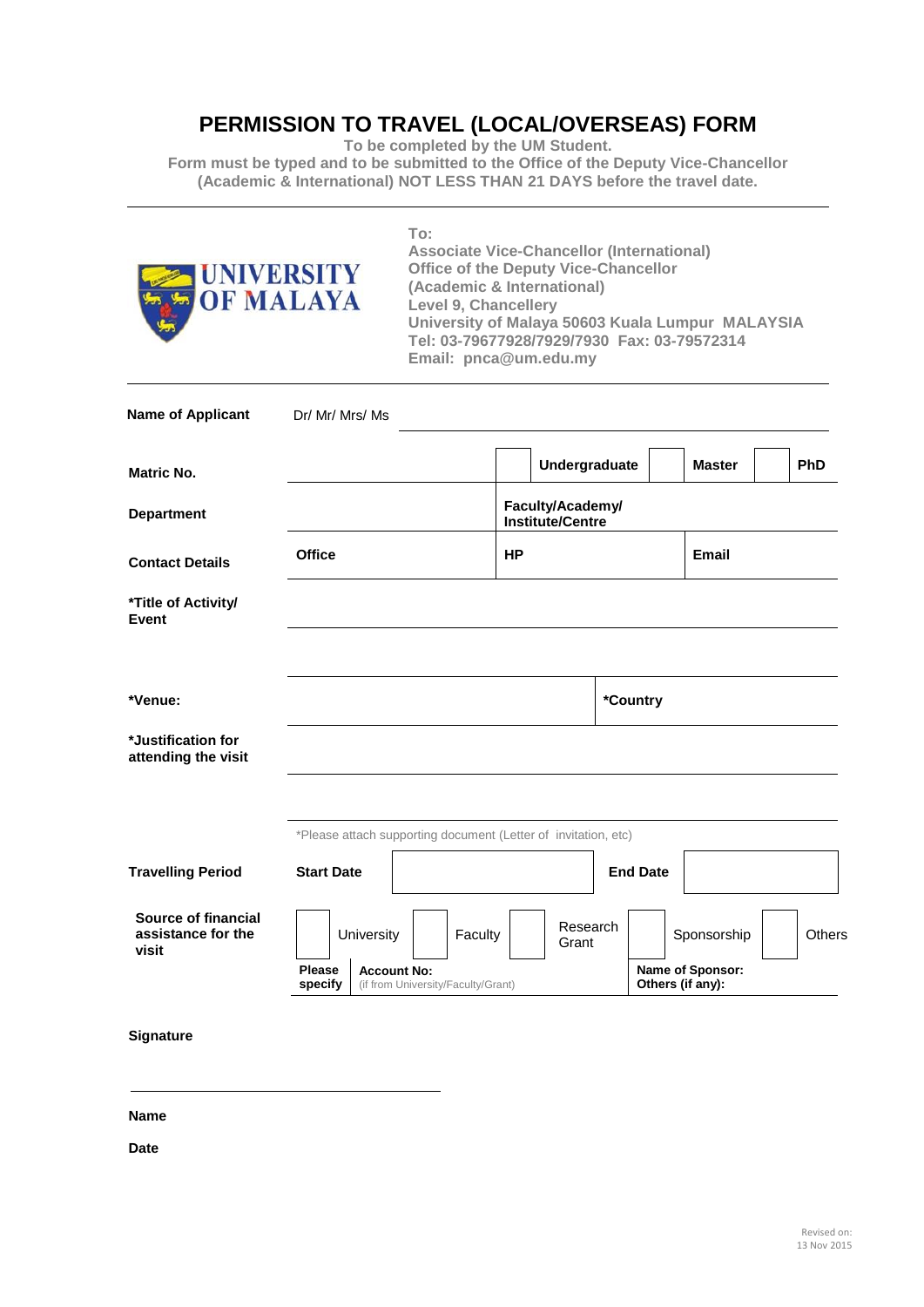## **PERMISSION TO TRAVEL (LOCAL/OVERSEAS) FORM**

**To be completed by the UM Student.**

**Form must be typed and to be submitted to the Office of the Deputy Vice-Chancellor (Academic & International) NOT LESS THAN 21 DAYS before the travel date.**

| <b>UNIVERSITY</b><br><b>OF MALAYA</b>              | To:<br><b>Associate Vice-Chancellor (International)</b><br><b>Office of the Deputy Vice-Chancellor</b><br>(Academic & International)<br><b>Level 9, Chancellery</b><br>University of Malaya 50603 Kuala Lumpur MALAYSIA<br>Tel: 03-79677928/7929/7930 Fax: 03-79572314<br>Email: pnca@um.edu.my |                                             |           |                   |                                      |               |            |  |
|----------------------------------------------------|-------------------------------------------------------------------------------------------------------------------------------------------------------------------------------------------------------------------------------------------------------------------------------------------------|---------------------------------------------|-----------|-------------------|--------------------------------------|---------------|------------|--|
| <b>Name of Applicant</b>                           | Dr/ Mr/ Mrs/ Ms                                                                                                                                                                                                                                                                                 |                                             |           |                   |                                      |               |            |  |
| <b>Matric No.</b>                                  |                                                                                                                                                                                                                                                                                                 |                                             |           | Undergraduate     |                                      | <b>Master</b> | <b>PhD</b> |  |
| <b>Department</b>                                  |                                                                                                                                                                                                                                                                                                 | Faculty/Academy/<br><b>Institute/Centre</b> |           |                   |                                      |               |            |  |
| <b>Contact Details</b>                             | <b>Office</b>                                                                                                                                                                                                                                                                                   |                                             | <b>HP</b> |                   |                                      | <b>Email</b>  |            |  |
| *Title of Activity/<br><b>Event</b>                |                                                                                                                                                                                                                                                                                                 |                                             |           |                   |                                      |               |            |  |
| *Venue:                                            |                                                                                                                                                                                                                                                                                                 |                                             |           |                   | *Country                             |               |            |  |
| *Justification for<br>attending the visit          |                                                                                                                                                                                                                                                                                                 |                                             |           |                   |                                      |               |            |  |
|                                                    | *Please attach supporting document (Letter of invitation, etc)                                                                                                                                                                                                                                  |                                             |           |                   |                                      |               |            |  |
| <b>Travelling Period</b>                           | <b>Start Date</b>                                                                                                                                                                                                                                                                               |                                             |           |                   | <b>End Date</b>                      |               |            |  |
| Source of financial<br>assistance for the<br>visit | University<br><b>Please</b>                                                                                                                                                                                                                                                                     | Faculty                                     |           | Research<br>Grant |                                      | Sponsorship   | Others     |  |
|                                                    | <b>Account No:</b><br>specify<br>(if from University/Faculty/Grant)                                                                                                                                                                                                                             |                                             |           |                   | Name of Sponsor:<br>Others (if any): |               |            |  |
| Signature                                          |                                                                                                                                                                                                                                                                                                 |                                             |           |                   |                                      |               |            |  |

**Name**

**Date**